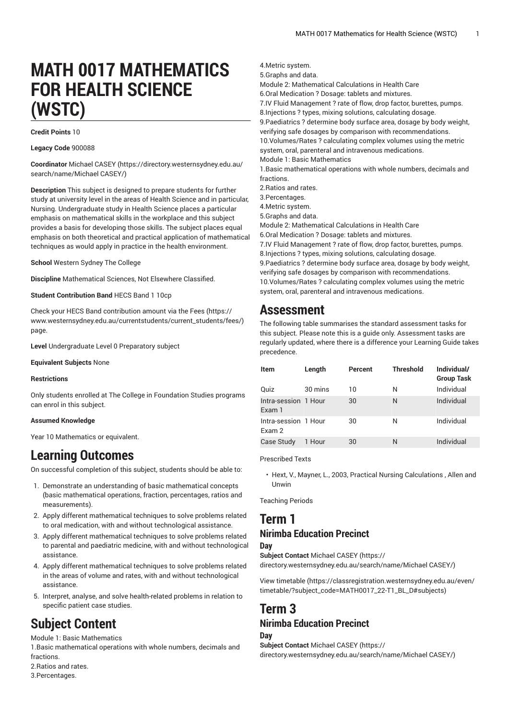# **MATH 0017 MATHEMATICS FOR HEALTH SCIENCE (WSTC)**

#### **Credit Points** 10

**Legacy Code** 900088

**Coordinator** [Michael CASEY \(https://directory.westernsydney.edu.au/](https://directory.westernsydney.edu.au/search/name/Michael CASEY/) [search/name/Michael](https://directory.westernsydney.edu.au/search/name/Michael CASEY/) CASEY/)

**Description** This subject is designed to prepare students for further study at university level in the areas of Health Science and in particular, Nursing. Undergraduate study in Health Science places a particular emphasis on mathematical skills in the workplace and this subject provides a basis for developing those skills. The subject places equal emphasis on both theoretical and practical application of mathematical techniques as would apply in practice in the health environment.

**School** Western Sydney The College

**Discipline** Mathematical Sciences, Not Elsewhere Classified.

**Student Contribution Band** HECS Band 1 10cp

Check your HECS Band contribution amount via the [Fees \(https://](https://www.westernsydney.edu.au/currentstudents/current_students/fees/) [www.westernsydney.edu.au/currentstudents/current\\_students/fees/\)](https://www.westernsydney.edu.au/currentstudents/current_students/fees/) page.

**Level** Undergraduate Level 0 Preparatory subject

**Equivalent Subjects** None

#### **Restrictions**

Only students enrolled at The College in Foundation Studies programs can enrol in this subject.

#### **Assumed Knowledge**

Year 10 Mathematics or equivalent.

### **Learning Outcomes**

On successful completion of this subject, students should be able to:

- 1. Demonstrate an understanding of basic mathematical concepts (basic mathematical operations, fraction, percentages, ratios and measurements).
- 2. Apply different mathematical techniques to solve problems related to oral medication, with and without technological assistance.
- 3. Apply different mathematical techniques to solve problems related to parental and paediatric medicine, with and without technological assistance.
- 4. Apply different mathematical techniques to solve problems related in the areas of volume and rates, with and without technological assistance.
- 5. Interpret, analyse, and solve health-related problems in relation to specific patient case studies.

## **Subject Content**

Module 1: Basic Mathematics

1.Basic mathematical operations with whole numbers, decimals and **fractions** 

- 2.Ratios and rates.
- 3.Percentages.

4.Metric system.

- 5.Graphs and data.
- Module 2: Mathematical Calculations in Health Care
- 6.Oral Medication ? Dosage: tablets and mixtures.

7.IV Fluid Management ? rate of flow, drop factor, burettes, pumps.

8.Injections ? types, mixing solutions, calculating dosage.

9.Paediatrics ? determine body surface area, dosage by body weight,

verifying safe dosages by comparison with recommendations. 10.Volumes/Rates ? calculating complex volumes using the metric system, oral, parenteral and intravenous medications.

Module 1: Basic Mathematics

1.Basic mathematical operations with whole numbers, decimals and fractions.

2.Ratios and rates.

3.Percentages.

4.Metric system.

5.Graphs and data.

Module 2: Mathematical Calculations in Health Care

6.Oral Medication ? Dosage: tablets and mixtures. 7.IV Fluid Management ? rate of flow, drop factor, burettes, pumps. 8.Injections ? types, mixing solutions, calculating dosage. 9.Paediatrics ? determine body surface area, dosage by body weight, verifying safe dosages by comparison with recommendations. 10.Volumes/Rates ? calculating complex volumes using the metric system, oral, parenteral and intravenous medications.

### **Assessment**

The following table summarises the standard assessment tasks for this subject. Please note this is a guide only. Assessment tasks are regularly updated, where there is a difference your Learning Guide takes precedence.

| Item                           | Length  | Percent | <b>Threshold</b> | Individual/<br><b>Group Task</b> |
|--------------------------------|---------|---------|------------------|----------------------------------|
| Quiz                           | 30 mins | 10      | N                | Individual                       |
| Intra-session 1 Hour<br>Exam 1 |         | 30      | N                | Individual                       |
| Intra-session 1 Hour<br>Exam 2 |         | 30      | N                | Individual                       |
| <b>Case Study</b>              | 1 Hour  | 30      | N                | Individual                       |

Prescribed Texts

• Hext, V., Mayner, L., 2003, Practical Nursing Calculations , Allen and Unwin

Teaching Periods

### **Term 1 Nirimba Education Precinct**

**Day**

**Subject Contact** [Michael CASEY](https://directory.westernsydney.edu.au/search/name/Michael CASEY/) ([https://](https://directory.westernsydney.edu.au/search/name/Michael CASEY/) [directory.westernsydney.edu.au/search/name/Michael](https://directory.westernsydney.edu.au/search/name/Michael CASEY/) CASEY/)

[View timetable](https://classregistration.westernsydney.edu.au/even/timetable/?subject_code=MATH0017_22-T1_BL_D#subjects) [\(https://classregistration.westernsydney.edu.au/even/](https://classregistration.westernsydney.edu.au/even/timetable/?subject_code=MATH0017_22-T1_BL_D#subjects) [timetable/?subject\\_code=MATH0017\\_22-T1\\_BL\\_D#subjects\)](https://classregistration.westernsydney.edu.au/even/timetable/?subject_code=MATH0017_22-T1_BL_D#subjects)

#### **Term 3 Nirimba Education Precinct Day**

**Subject Contact** [Michael CASEY](https://directory.westernsydney.edu.au/search/name/Michael CASEY/) ([https://](https://directory.westernsydney.edu.au/search/name/Michael CASEY/) [directory.westernsydney.edu.au/search/name/Michael](https://directory.westernsydney.edu.au/search/name/Michael CASEY/) CASEY/)